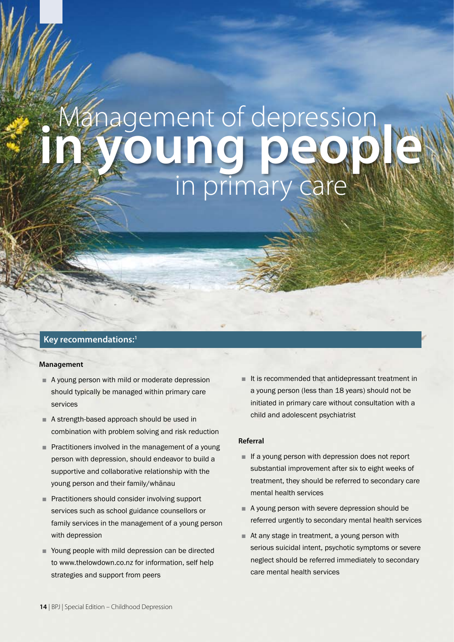# in young people in primary care Management of depression

## **Key recommendations:1**

### **Management**

- A young person with mild or moderate depression should typically be managed within primary care services
- A strength-based approach should be used in combination with problem solving and risk reduction
- Practitioners involved in the management of a young person with depression, should endeavor to build a supportive and collaborative relationship with the young person and their family/whānau
- Practitioners should consider involving support services such as school guidance counsellors or family services in the management of a young person with depression
- Young people with mild depression can be directed to www.thelowdown.co.nz for information, self help strategies and support from peers

■ It is recommended that antidepressant treatment in a young person (less than 18 years) should not be initiated in primary care without consultation with a child and adolescent psychiatrist

## **Referral**

- If a young person with depression does not report substantial improvement after six to eight weeks of treatment, they should be referred to secondary care mental health services
- A young person with severe depression should be referred urgently to secondary mental health services
- At any stage in treatment, a young person with serious suicidal intent, psychotic symptoms or severe neglect should be referred immediately to secondary care mental health services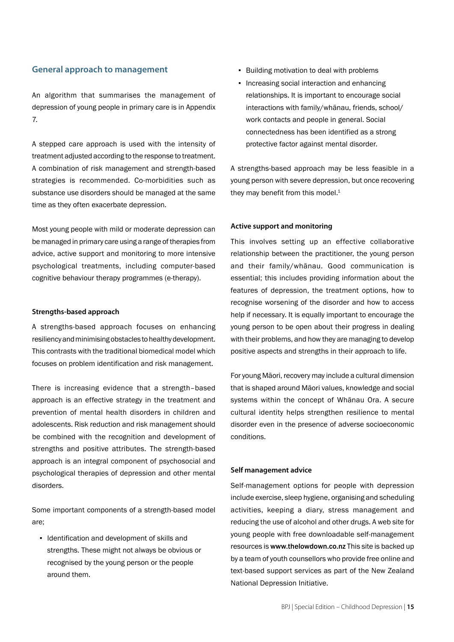## **General approach to management**

An algorithm that summarises the management of depression of young people in primary care is in Appendix 7.

A stepped care approach is used with the intensity of treatment adjusted according to the response to treatment. A combination of risk management and strength-based strategies is recommended. Co-morbidities such as substance use disorders should be managed at the same time as they often exacerbate depression.

Most young people with mild or moderate depression can be managed in primary care using a range of therapies from advice, active support and monitoring to more intensive psychological treatments, including computer-based cognitive behaviour therapy programmes (e-therapy).

### **Strengths-based approach**

A strengths-based approach focuses on enhancing resiliency and minimising obstacles to healthy development. This contrasts with the traditional biomedical model which focuses on problem identification and risk management.

There is increasing evidence that a strength–based approach is an effective strategy in the treatment and prevention of mental health disorders in children and adolescents. Risk reduction and risk management should be combined with the recognition and development of strengths and positive attributes. The strength-based approach is an integral component of psychosocial and psychological therapies of depression and other mental disorders.

Some important components of a strength-based model are;

▪ Identification and development of skills and strengths. These might not always be obvious or recognised by the young person or the people around them.

- Building motivation to deal with problems
- Increasing social interaction and enhancing relationships. It is important to encourage social interactions with family/whānau, friends, school/ work contacts and people in general. Social connectedness has been identified as a strong protective factor against mental disorder.

A strengths-based approach may be less feasible in a young person with severe depression, but once recovering they may benefit from this model.<sup>1</sup>

### **Active support and monitoring**

This involves setting up an effective collaborative relationship between the practitioner, the young person and their family/whānau. Good communication is essential; this includes providing information about the features of depression, the treatment options, how to recognise worsening of the disorder and how to access help if necessary. It is equally important to encourage the young person to be open about their progress in dealing with their problems, and how they are managing to develop positive aspects and strengths in their approach to life.

For young Māori, recovery may include a cultural dimension that is shaped around Māori values, knowledge and social systems within the concept of Whānau Ora. A secure cultural identity helps strengthen resilience to mental disorder even in the presence of adverse socioeconomic conditions.

## **Self management advice**

Self-management options for people with depression include exercise, sleep hygiene, organising and scheduling activities, keeping a diary, stress management and reducing the use of alcohol and other drugs. A web site for young people with free downloadable self-management resources is www.thelowdown.co.nz This site is backed up by a team of youth counsellors who provide free online and text-based support services as part of the New Zealand National Depression Initiative.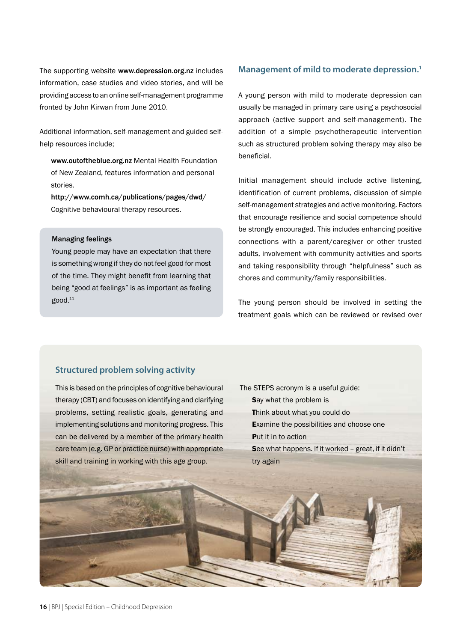The supporting website www.depression.org.nz includes information, case studies and video stories, and will be providing access to an online self-management programme fronted by John Kirwan from June 2010.

Additional information, self-management and guided selfhelp resources include;

www.outoftheblue.org.nz Mental Health Foundation of New Zealand, features information and personal stories.

http://www.comh.ca/publications/pages/dwd/ Cognitive behavioural therapy resources.

#### Managing feelings

Young people may have an expectation that there is something wrong if they do not feel good for most of the time. They might benefit from learning that being "good at feelings" is as important as feeling good.11

## **Management of mild to moderate depression.1**

A young person with mild to moderate depression can usually be managed in primary care using a psychosocial approach (active support and self-management). The addition of a simple psychotherapeutic intervention such as structured problem solving therapy may also be beneficial.

Initial management should include active listening, identification of current problems, discussion of simple self-management strategies and active monitoring. Factors that encourage resilience and social competence should be strongly encouraged. This includes enhancing positive connections with a parent/caregiver or other trusted adults, involvement with community activities and sports and taking responsibility through "helpfulness" such as chores and community/family responsibilities.

The young person should be involved in setting the treatment goals which can be reviewed or revised over

## **Structured problem solving activity**

This is based on the principles of cognitive behavioural therapy (CBT) and focuses on identifying and clarifying problems, setting realistic goals, generating and implementing solutions and monitoring progress. This can be delivered by a member of the primary health care team (e.g. GP or practice nurse) with appropriate skill and training in working with this age group.

- The STEPS acronym is a useful guide:
	- Say what the problem is
	- Think about what you could do
	- Examine the possibilities and choose one
	- Put it in to action
	- See what happens. If it worked great, if it didn't try again

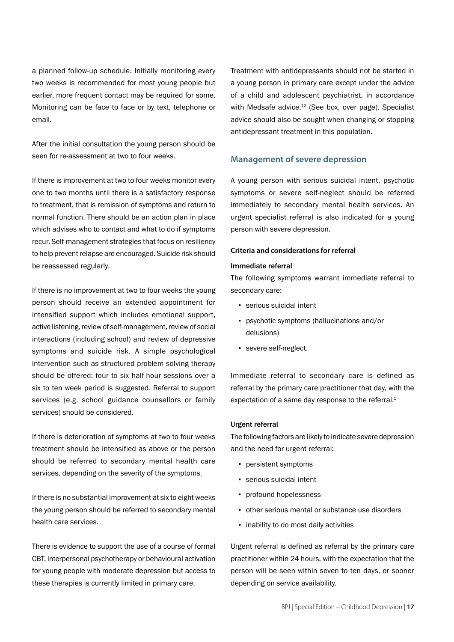a planned follow-up schedule. Initially monitoring every two weeks is recommended for most young people but earlier, more frequent contact may be required for some. Monitoring can be face to face or by text, telephone or email.

After the initial consultation the young person should be seen for re-assessment at two to four weeks.

If there is improvement at two to four weeks monitor every one to two months until there is a satisfactory response to treatment, that is remission of symptoms and return to normal function. There should be an action plan in place which advises who to contact and what to do if symptoms recur. Self-management strategies that focus on resiliency to help prevent relapse are encouraged. Suicide risk should be reassessed regularly.

If there is no improvement at two to four weeks the young person should receive an extended appointment for intensified support which includes emotional support, active listening, review of self-management, review of social interactions (including school) and review of depressive symptoms and suicide risk. A simple psychological intervention such as structured problem solving therapy should be offered: four to six half-hour sessions over a six to ten week period is suggested. Referral to support services (e.g. school guidance counsellors or family services) should be considered.

If there is deterioration of symptoms at two to four weeks treatment should be intensified as above or the person should be referred to secondary mental health care services, depending on the severity of the symptoms.

If there is no substantial improvement at six to eight weeks the young person should be referred to secondary mental health care services.

There is evidence to support the use of a course of formal CBT, interpersonal psychotherapy or behavioural activation for young people with moderate depression but access to these therapies is currently limited in primary care.

Treatment with antidepressants should not be started in a young person in primary care except under the advice of a child and adolescent psychiatrist, in accordance with Medsafe advice.<sup>12</sup> (See box, over page). Specialist advice should also be sought when changing or stopping antidepressant treatment in this population.

## **Management of severe depression**

A young person with serious suicidal intent, psychotic symptoms or severe self-neglect should be referred immediately to secondary mental health services. An urgent specialist referral is also indicated for a young person with severe depression.

## **Criteria and considerations for referral**

#### Immediate referral

The following symptoms warrant immediate referral to secondary care:

- **•** serious suicidal intent
- psychotic symptoms (hallucinations and/or delusions)
- severe self-neglect.

Immediate referral to secondary care is defined as referral by the primary care practitioner that day, with the expectation of a same day response to the referral.<sup>1</sup>

#### Urgent referral

The following factors are likely to indicate severe depression and the need for urgent referral:

- persistent symptoms
- serious suicidal intent
- profound hopelessness
- other serious mental or substance use disorders
- inability to do most daily activities

Urgent referral is defined as referral by the primary care practitioner within 24 hours, with the expectation that the person will be seen within seven to ten days, or sooner depending on service availability.